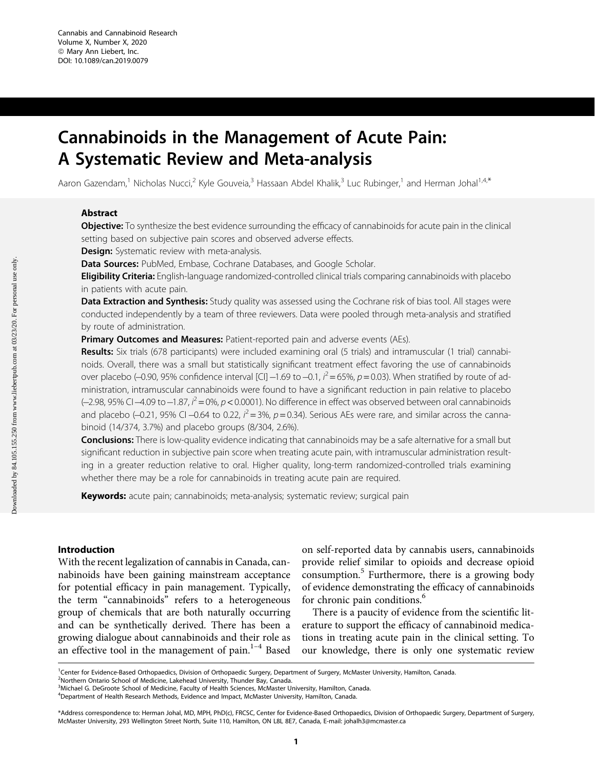# Cannabinoids in the Management of Acute Pain: A Systematic Review and Meta-analysis

Aaron Gazendam,<sup>1</sup> Nicholas Nucci,<sup>2</sup> Kyle Gouveia,<sup>3</sup> Hassaan Abdel Khalik,<sup>3</sup> Luc Rubinger,<sup>1</sup> and Herman Johal<sup>1,4,\*</sup>

# Abstract

Objective: To synthesize the best evidence surrounding the efficacy of cannabinoids for acute pain in the clinical setting based on subjective pain scores and observed adverse effects.

**Design:** Systematic review with meta-analysis.

Data Sources: PubMed, Embase, Cochrane Databases, and Google Scholar.

Eligibility Criteria: English-language randomized-controlled clinical trials comparing cannabinoids with placebo in patients with acute pain.

Data Extraction and Synthesis: Study quality was assessed using the Cochrane risk of bias tool. All stages were conducted independently by a team of three reviewers. Data were pooled through meta-analysis and stratified by route of administration.

Primary Outcomes and Measures: Patient-reported pain and adverse events (AEs).

Results: Six trials (678 participants) were included examining oral (5 trials) and intramuscular (1 trial) cannabinoids. Overall, there was a small but statistically significant treatment effect favoring the use of cannabinoids over placebo (–0.90, 95% confidence interval [CI] –1.69 to –0.1,  $i^2$  = 65%, p = 0.03). When stratified by route of administration, intramuscular cannabinoids were found to have a significant reduction in pain relative to placebo (-2.98, 95% CI-4.09 to -1.87,  $i^2$  = 0%, p < 0.0001). No difference in effect was observed between oral cannabinoids and placebo (–0.21, 95% CI –0.64 to 0.22,  $i^2$  = 3%,  $p$  = 0.34). Serious AEs were rare, and similar across the cannabinoid (14/374, 3.7%) and placebo groups (8/304, 2.6%).

Conclusions: There is low-quality evidence indicating that cannabinoids may be a safe alternative for a small but significant reduction in subjective pain score when treating acute pain, with intramuscular administration resulting in a greater reduction relative to oral. Higher quality, long-term randomized-controlled trials examining whether there may be a role for cannabinoids in treating acute pain are required.

Keywords: acute pain; cannabinoids; meta-analysis; systematic review; surgical pain

## Introduction

With the recent legalization of cannabis in Canada, cannabinoids have been gaining mainstream acceptance for potential efficacy in pain management. Typically, the term "cannabinoids" refers to a heterogeneous group of chemicals that are both naturally occurring and can be synthetically derived. There has been a growing dialogue about cannabinoids and their role as an effective tool in the management of pain. $1-4$  Based

on self-reported data by cannabis users, cannabinoids provide relief similar to opioids and decrease opioid consumption.5 Furthermore, there is a growing body of evidence demonstrating the efficacy of cannabinoids for chronic pain conditions.<sup>6</sup>

There is a paucity of evidence from the scientific literature to support the efficacy of cannabinoid medications in treating acute pain in the clinical setting. To our knowledge, there is only one systematic review

<sup>&</sup>lt;sup>1</sup>Center for Evidence-Based Orthopaedics, Division of Orthopaedic Surgery, Department of Surgery, McMaster University, Hamilton, Canada.

<sup>&</sup>lt;sup>2</sup>Northern Ontario School of Medicine, Lakehead University, Thunder Bay, Canada.

<sup>&</sup>lt;sup>3</sup>Michael G. DeGroote School of Medicine, Faculty of Health Sciences, McMaster University, Hamilton, Canada.

<sup>4</sup> Department of Health Research Methods, Evidence and Impact, McMaster University, Hamilton, Canada.

<sup>\*</sup>Address correspondence to: Herman Johal, MD, MPH, PhD(c), FRCSC, Center for Evidence-Based Orthopaedics, Division of Orthopaedic Surgery, Department of Surgery, McMaster University, 293 Wellington Street North, Suite 110, Hamilton, ON L8L 8E7, Canada, E-mail: johalh3@mcmaster.ca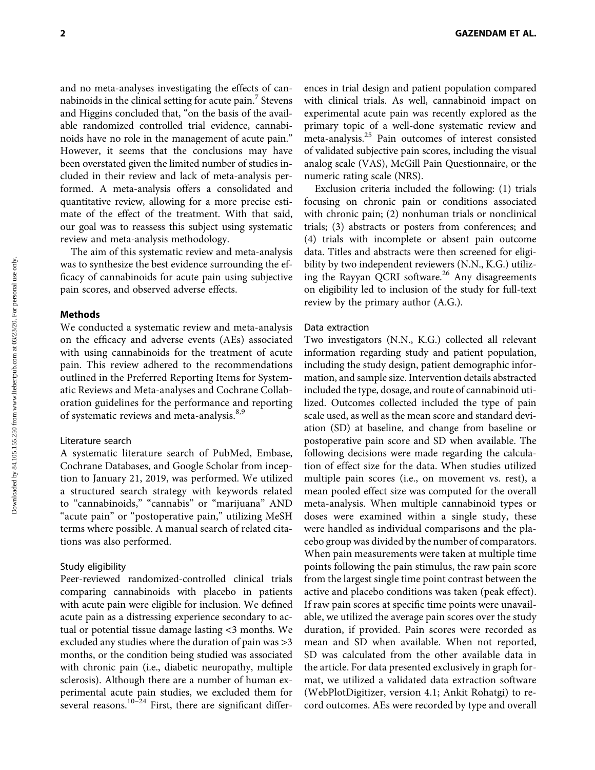and no meta-analyses investigating the effects of cannabinoids in the clinical setting for acute pain.<sup>7</sup> Stevens and Higgins concluded that, ''on the basis of the available randomized controlled trial evidence, cannabinoids have no role in the management of acute pain.'' However, it seems that the conclusions may have been overstated given the limited number of studies included in their review and lack of meta-analysis performed. A meta-analysis offers a consolidated and quantitative review, allowing for a more precise estimate of the effect of the treatment. With that said, our goal was to reassess this subject using systematic review and meta-analysis methodology.

The aim of this systematic review and meta-analysis was to synthesize the best evidence surrounding the efficacy of cannabinoids for acute pain using subjective pain scores, and observed adverse effects.

# Methods

We conducted a systematic review and meta-analysis on the efficacy and adverse events (AEs) associated with using cannabinoids for the treatment of acute pain. This review adhered to the recommendations outlined in the Preferred Reporting Items for Systematic Reviews and Meta-analyses and Cochrane Collaboration guidelines for the performance and reporting of systematic reviews and meta-analysis.<sup>8,9</sup>

#### Literature search

A systematic literature search of PubMed, Embase, Cochrane Databases, and Google Scholar from inception to January 21, 2019, was performed. We utilized a structured search strategy with keywords related to "cannabinoids," "cannabis" or "marijuana" AND "acute pain" or "postoperative pain," utilizing MeSH terms where possible. A manual search of related citations was also performed.

# Study eligibility

Peer-reviewed randomized-controlled clinical trials comparing cannabinoids with placebo in patients with acute pain were eligible for inclusion. We defined acute pain as a distressing experience secondary to actual or potential tissue damage lasting <3 months. We excluded any studies where the duration of pain was >3 months, or the condition being studied was associated with chronic pain (i.e., diabetic neuropathy, multiple sclerosis). Although there are a number of human experimental acute pain studies, we excluded them for several reasons.<sup>10–24</sup> First, there are significant differences in trial design and patient population compared with clinical trials. As well, cannabinoid impact on experimental acute pain was recently explored as the primary topic of a well-done systematic review and meta-analysis.<sup>25</sup> Pain outcomes of interest consisted of validated subjective pain scores, including the visual analog scale (VAS), McGill Pain Questionnaire, or the numeric rating scale (NRS).

Exclusion criteria included the following: (1) trials focusing on chronic pain or conditions associated with chronic pain; (2) nonhuman trials or nonclinical trials; (3) abstracts or posters from conferences; and (4) trials with incomplete or absent pain outcome data. Titles and abstracts were then screened for eligibility by two independent reviewers (N.N., K.G.) utilizing the Rayyan QCRI software.<sup>26</sup> Any disagreements on eligibility led to inclusion of the study for full-text review by the primary author (A.G.).

### Data extraction

Two investigators (N.N., K.G.) collected all relevant information regarding study and patient population, including the study design, patient demographic information, and sample size. Intervention details abstracted included the type, dosage, and route of cannabinoid utilized. Outcomes collected included the type of pain scale used, as well as the mean score and standard deviation (SD) at baseline, and change from baseline or postoperative pain score and SD when available. The following decisions were made regarding the calculation of effect size for the data. When studies utilized multiple pain scores (i.e., on movement vs. rest), a mean pooled effect size was computed for the overall meta-analysis. When multiple cannabinoid types or doses were examined within a single study, these were handled as individual comparisons and the placebo group was divided by the number of comparators. When pain measurements were taken at multiple time points following the pain stimulus, the raw pain score from the largest single time point contrast between the active and placebo conditions was taken (peak effect). If raw pain scores at specific time points were unavailable, we utilized the average pain scores over the study duration, if provided. Pain scores were recorded as mean and SD when available. When not reported, SD was calculated from the other available data in the article. For data presented exclusively in graph format, we utilized a validated data extraction software (WebPlotDigitizer, version 4.1; Ankit Rohatgi) to record outcomes. AEs were recorded by type and overall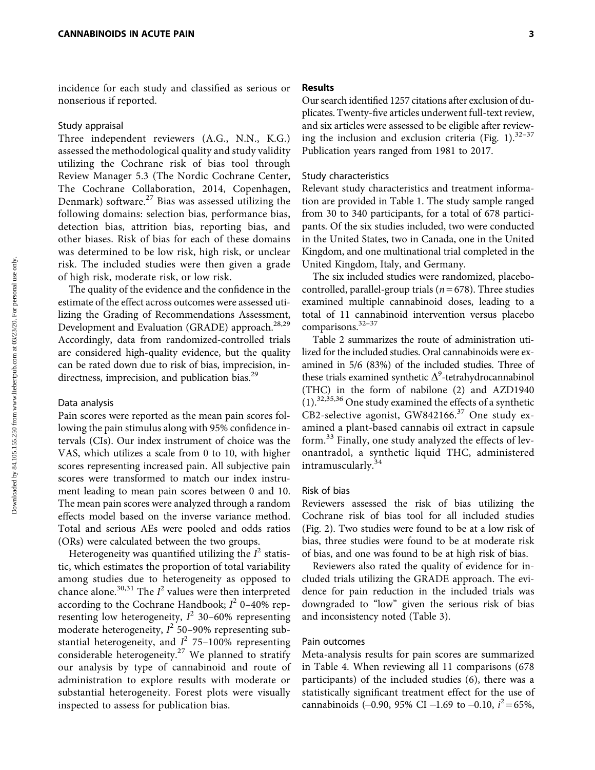incidence for each study and classified as serious or nonserious if reported.

#### Study appraisal

Three independent reviewers (A.G., N.N., K.G.) assessed the methodological quality and study validity utilizing the Cochrane risk of bias tool through Review Manager 5.3 (The Nordic Cochrane Center, The Cochrane Collaboration, 2014, Copenhagen, Denmark) software. $27$  Bias was assessed utilizing the following domains: selection bias, performance bias, detection bias, attrition bias, reporting bias, and other biases. Risk of bias for each of these domains was determined to be low risk, high risk, or unclear risk. The included studies were then given a grade of high risk, moderate risk, or low risk.

The quality of the evidence and the confidence in the estimate of the effect across outcomes were assessed utilizing the Grading of Recommendations Assessment, Development and Evaluation (GRADE) approach.<sup>28,29</sup> Accordingly, data from randomized-controlled trials are considered high-quality evidence, but the quality can be rated down due to risk of bias, imprecision, indirectness, imprecision, and publication bias.<sup>29</sup>

## Data analysis

Pain scores were reported as the mean pain scores following the pain stimulus along with 95% confidence intervals (CIs). Our index instrument of choice was the VAS, which utilizes a scale from 0 to 10, with higher scores representing increased pain. All subjective pain scores were transformed to match our index instrument leading to mean pain scores between 0 and 10. The mean pain scores were analyzed through a random effects model based on the inverse variance method. Total and serious AEs were pooled and odds ratios (ORs) were calculated between the two groups.

Heterogeneity was quantified utilizing the  $I^2$  statistic, which estimates the proportion of total variability among studies due to heterogeneity as opposed to chance alone.<sup>30,31</sup> The  $I^2$  values were then interpreted according to the Cochrane Handbook;  $I^2$  0–40% representing low heterogeneity,  $I^2$  30–60% representing moderate heterogeneity,  $I^2$  50-90% representing substantial heterogeneity, and  $I^2$  75-100% representing considerable heterogeneity.<sup>27</sup> We planned to stratify our analysis by type of cannabinoid and route of administration to explore results with moderate or substantial heterogeneity. Forest plots were visually inspected to assess for publication bias.

#### Results

Our search identified 1257 citations after exclusion of duplicates. Twenty-five articles underwent full-text review, and six articles were assessed to be eligible after reviewing the inclusion and exclusion criteria (Fig. 1). $32-37$ Publication years ranged from 1981 to 2017.

# Study characteristics

Relevant study characteristics and treatment information are provided in Table 1. The study sample ranged from 30 to 340 participants, for a total of 678 participants. Of the six studies included, two were conducted in the United States, two in Canada, one in the United Kingdom, and one multinational trial completed in the United Kingdom, Italy, and Germany.

The six included studies were randomized, placebocontrolled, parallel-group trials ( $n = 678$ ). Three studies examined multiple cannabinoid doses, leading to a total of 11 cannabinoid intervention versus placebo comparisons.32–37

Table 2 summarizes the route of administration utilized for the included studies. Oral cannabinoids were examined in 5/6 (83%) of the included studies. Three of these trials examined synthetic  $\Delta^9$ -tetrahydrocannabinol (THC) in the form of nabilone (2) and AZD1940 (1).32,35,36 One study examined the effects of a synthetic CB2-selective agonist, GW842166.<sup>37</sup> One study examined a plant-based cannabis oil extract in capsule form.<sup>33</sup> Finally, one study analyzed the effects of levonantradol, a synthetic liquid THC, administered intramuscularly.<sup>34</sup>

## Risk of bias

Reviewers assessed the risk of bias utilizing the Cochrane risk of bias tool for all included studies (Fig. 2). Two studies were found to be at a low risk of bias, three studies were found to be at moderate risk of bias, and one was found to be at high risk of bias.

Reviewers also rated the quality of evidence for included trials utilizing the GRADE approach. The evidence for pain reduction in the included trials was downgraded to "low" given the serious risk of bias and inconsistency noted (Table 3).

# Pain outcomes

Meta-analysis results for pain scores are summarized in Table 4. When reviewing all 11 comparisons (678 participants) of the included studies (6), there was a statistically significant treatment effect for the use of cannabinoids (-0.90, 95% CI -1.69 to -0.10,  $i^2 = 65\%$ ,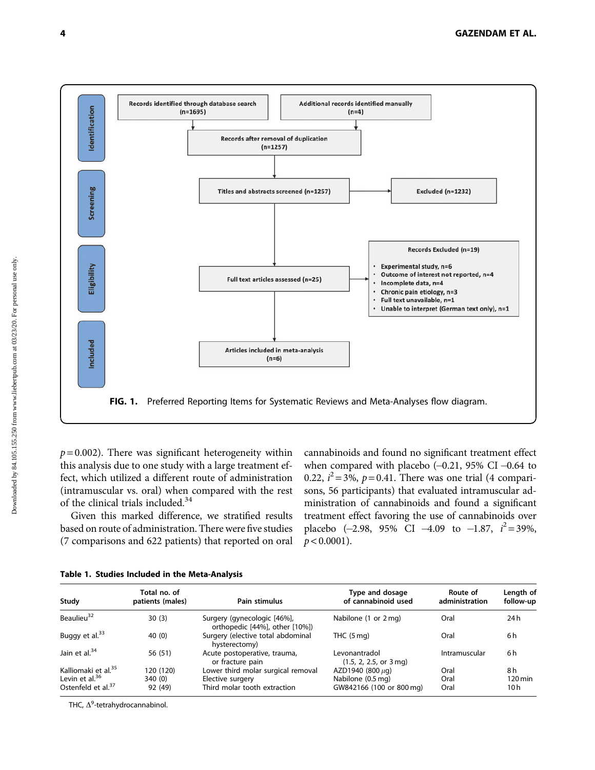

 $p = 0.002$ ). There was significant heterogeneity within this analysis due to one study with a large treatment effect, which utilized a different route of administration (intramuscular vs. oral) when compared with the rest of the clinical trials included.34

Given this marked difference, we stratified results based on route of administration. There were five studies (7 comparisons and 622 patients) that reported on oral cannabinoids and found no significant treatment effect when compared with placebo  $(-0.21, 95\% \text{ CI} -0.64 \text{ to}$ 0.22,  $i^2 = 3\%$ ,  $p = 0.41$ . There was one trial (4 comparisons, 56 participants) that evaluated intramuscular administration of cannabinoids and found a significant treatment effect favoring the use of cannabinoids over placebo (-2.98, 95% CI -4.09 to -1.87,  $i^2 = 39\%$ ,  $p < 0.0001$ ).

Table 1. Studies Included in the Meta-Analysis

| Study                           | Total no. of<br>patients (males) | Pain stimulus                                                 | Type and dosage<br>of cannabinoid used  | Route of<br>administration | Length of<br>follow-up |
|---------------------------------|----------------------------------|---------------------------------------------------------------|-----------------------------------------|----------------------------|------------------------|
| Beaulieu <sup>32</sup>          | 30(3)                            | Surgery (gynecologic [46%],<br>orthopedic [44%], other [10%]) | Nabilone (1 or 2 mg)                    | Oral                       | 24 h                   |
| Buggy et al. <sup>33</sup>      | 40 (0)                           | Surgery (elective total abdominal<br>hysterectomy)            | THC $(5 \text{ mg})$                    | Oral                       | 6h                     |
| Jain et al. <sup>34</sup>       | 56 (51)                          | Acute postoperative, trauma,<br>or fracture pain              | Levonantradol<br>(1.5, 2, 2.5, or 3 mg) | Intramuscular              | 6h                     |
| Kalliomaki et al. <sup>35</sup> | 120 (120)                        | Lower third molar surgical removal                            | AZD1940 (800 $\mu$ g)                   | Oral                       | 8 h                    |
| Levin et al. $36$               | 340(0)                           | Elective surgery                                              | Nabilone (0.5 mg)                       | Oral                       | $120 \,\mathrm{min}$   |
| Ostenfeld et al. <sup>37</sup>  | 92 (49)                          | Third molar tooth extraction                                  | GW842166 (100 or 800 mg)                | Oral                       | 10h                    |

THC,  $\Delta^9$ -tetrahydrocannabinol.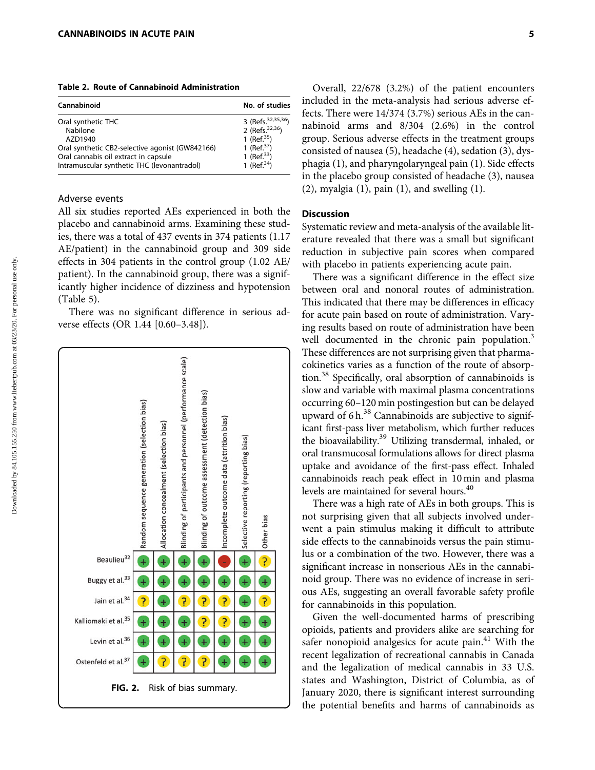Table 2. Route of Cannabinoid Administration

| Cannabinoid                                                                                                                                                                         | No. of studies                                                                                                      |
|-------------------------------------------------------------------------------------------------------------------------------------------------------------------------------------|---------------------------------------------------------------------------------------------------------------------|
| Oral synthetic THC<br>Nabilone<br>AZD1940<br>Oral synthetic CB2-selective agonist (GW842166)<br>Oral cannabis oil extract in capsule<br>Intramuscular synthetic THC (levonantradol) | 3 (Refs. $32,35,36$ )<br>2 (Refs. $32,36$ )<br>1 (Ref. $35$ )<br>1 (Ref. $37$ )<br>1 (Ref. $33$ )<br>1 (Ref. $34$ ) |

# Adverse events

All six studies reported AEs experienced in both the placebo and cannabinoid arms. Examining these studies, there was a total of 437 events in 374 patients (1.17 AE/patient) in the cannabinoid group and 309 side effects in 304 patients in the control group (1.02 AE/ patient). In the cannabinoid group, there was a significantly higher incidence of dizziness and hypotension (Table 5).

There was no significant difference in serious adverse effects (OR 1.44 [0.60–3.48]).



Overall, 22/678 (3.2%) of the patient encounters included in the meta-analysis had serious adverse effects. There were 14/374 (3.7%) serious AEs in the cannabinoid arms and 8/304 (2.6%) in the control group. Serious adverse effects in the treatment groups consisted of nausea (5), headache (4), sedation (3), dysphagia (1), and pharyngolaryngeal pain (1). Side effects in the placebo group consisted of headache (3), nausea (2), myalgia (1), pain (1), and swelling (1).

# Discussion

Systematic review and meta-analysis of the available literature revealed that there was a small but significant reduction in subjective pain scores when compared with placebo in patients experiencing acute pain.

There was a significant difference in the effect size between oral and nonoral routes of administration. This indicated that there may be differences in efficacy for acute pain based on route of administration. Varying results based on route of administration have been well documented in the chronic pain population.<sup>3</sup> These differences are not surprising given that pharmacokinetics varies as a function of the route of absorption.38 Specifically, oral absorption of cannabinoids is slow and variable with maximal plasma concentrations occurring 60–120 min postingestion but can be delayed upward of  $6 h$ .<sup>38</sup> Cannabinoids are subjective to significant first-pass liver metabolism, which further reduces the bioavailability.<sup>39</sup> Utilizing transdermal, inhaled, or oral transmucosal formulations allows for direct plasma uptake and avoidance of the first-pass effect. Inhaled cannabinoids reach peak effect in 10 min and plasma levels are maintained for several hours.<sup>40</sup>

There was a high rate of AEs in both groups. This is not surprising given that all subjects involved underwent a pain stimulus making it difficult to attribute side effects to the cannabinoids versus the pain stimulus or a combination of the two. However, there was a significant increase in nonserious AEs in the cannabinoid group. There was no evidence of increase in serious AEs, suggesting an overall favorable safety profile for cannabinoids in this population.

Given the well-documented harms of prescribing opioids, patients and providers alike are searching for safer nonopioid analgesics for acute pain. $41$  With the recent legalization of recreational cannabis in Canada and the legalization of medical cannabis in 33 U.S. states and Washington, District of Columbia, as of January 2020, there is significant interest surrounding the potential benefits and harms of cannabinoids as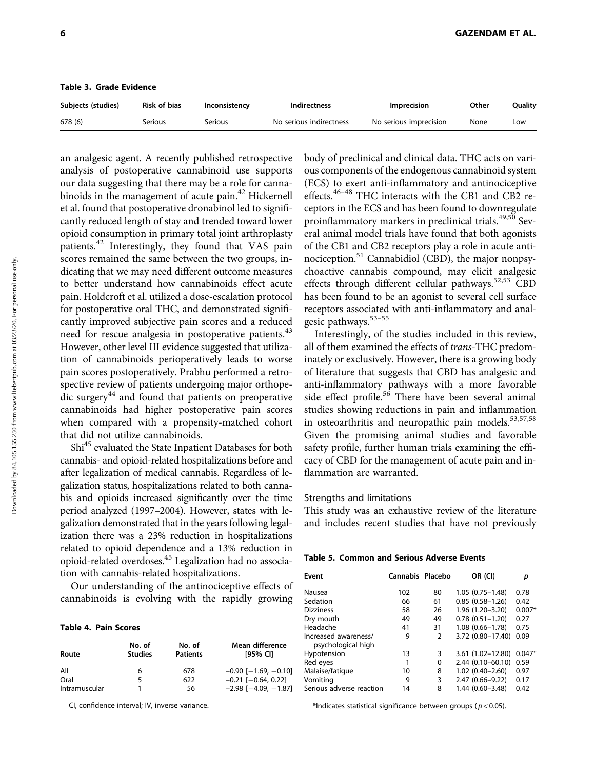Table 3. Grade Evidence

| Subjects (studies) | <b>Risk of bias</b> | Inconsistency | <b>Indirectness</b>     | <b>Imprecision</b>     | Other | Quality |
|--------------------|---------------------|---------------|-------------------------|------------------------|-------|---------|
| 678 (6)            | serious             | Serious       | No serious indirectness | No serious imprecision | None  | Low     |

an analgesic agent. A recently published retrospective analysis of postoperative cannabinoid use supports our data suggesting that there may be a role for cannabinoids in the management of acute pain.<sup>42</sup> Hickernell et al. found that postoperative dronabinol led to significantly reduced length of stay and trended toward lower opioid consumption in primary total joint arthroplasty patients.<sup>42</sup> Interestingly, they found that VAS pain scores remained the same between the two groups, indicating that we may need different outcome measures to better understand how cannabinoids effect acute pain. Holdcroft et al. utilized a dose-escalation protocol for postoperative oral THC, and demonstrated significantly improved subjective pain scores and a reduced need for rescue analgesia in postoperative patients.<sup>43</sup> However, other level III evidence suggested that utilization of cannabinoids perioperatively leads to worse pain scores postoperatively. Prabhu performed a retrospective review of patients undergoing major orthopedic surgery<sup>44</sup> and found that patients on preoperative cannabinoids had higher postoperative pain scores when compared with a propensity-matched cohort that did not utilize cannabinoids.

Shi<sup>45</sup> evaluated the State Inpatient Databases for both cannabis- and opioid-related hospitalizations before and after legalization of medical cannabis. Regardless of legalization status, hospitalizations related to both cannabis and opioids increased significantly over the time period analyzed (1997–2004). However, states with legalization demonstrated that in the years following legalization there was a 23% reduction in hospitalizations related to opioid dependence and a 13% reduction in opioid-related overdoses.45 Legalization had no association with cannabis-related hospitalizations.

Our understanding of the antinociceptive effects of cannabinoids is evolving with the rapidly growing

| Route         | No. of<br><b>Studies</b> | No. of<br><b>Patients</b> | Mean difference<br>[95% CI]   |  |
|---------------|--------------------------|---------------------------|-------------------------------|--|
| All           | 6                        | 678                       | $-0.90$ [ $-1.69$ , $-0.10$ ] |  |
| Oral          |                          | 622                       | $-0.21$ [ $-0.64$ , 0.22]     |  |
| Intramuscular |                          | 56                        | $-2.98$ [ $-4.09$ , $-1.87$ ] |  |

CI, confidence interval; IV, inverse variance.

body of preclinical and clinical data. THC acts on various components of the endogenous cannabinoid system (ECS) to exert anti-inflammatory and antinociceptive effects.46–48 THC interacts with the CB1 and CB2 receptors in the ECS and has been found to downregulate proinflammatory markers in preclinical trials.<sup>49,50</sup> Several animal model trials have found that both agonists of the CB1 and CB2 receptors play a role in acute antinociception.<sup>51</sup> Cannabidiol (CBD), the major nonpsychoactive cannabis compound, may elicit analgesic effects through different cellular pathways.<sup>52,53</sup> CBD has been found to be an agonist to several cell surface receptors associated with anti-inflammatory and analgesic pathways.53–55

Interestingly, of the studies included in this review, all of them examined the effects of trans-THC predominately or exclusively. However, there is a growing body of literature that suggests that CBD has analgesic and anti-inflammatory pathways with a more favorable side effect profile.<sup>56</sup> There have been several animal studies showing reductions in pain and inflammation in osteoarthritis and neuropathic pain models.<sup>53,57,58</sup> Given the promising animal studies and favorable safety profile, further human trials examining the efficacy of CBD for the management of acute pain and inflammation are warranted.

### Strengths and limitations

This study was an exhaustive review of the literature and includes recent studies that have not previously

| <b>Table 5. Common and Serious Adverse Events</b> |  |  |  |  |
|---------------------------------------------------|--|--|--|--|
|---------------------------------------------------|--|--|--|--|

| Event                                      | Cannabis Placebo |               | OR (CI)              | р        |
|--------------------------------------------|------------------|---------------|----------------------|----------|
| Nausea                                     | 102              | 80            | $1.05(0.75 - 1.48)$  | 0.78     |
| Sedation                                   | 66               | 61            | $0.85(0.58 - 1.26)$  | 0.42     |
| <b>Dizziness</b>                           | 58               | 26            | $1.96(1.20 - 3.20)$  | $0.007*$ |
| Dry mouth                                  | 49               | 49            | $0.78(0.51 - 1.20)$  | 0.27     |
| Headache                                   | 41               | 31            | $1.08(0.66 - 1.78)$  | 0.75     |
| Increased awareness/<br>psychological high | 9                | $\mathcal{P}$ | 3.72 (0.80-17.40)    | 0.09     |
| Hypotension                                | 13               | 3             | $3.61(1.02 - 12.80)$ | $0.047*$ |
| Red eyes                                   |                  | 0             | $2.44(0.10 - 60.10)$ | 0.59     |
| Malaise/fatique                            | 10               | 8             | $1.02(0.40 - 2.60)$  | 0.97     |
| Vomiting                                   | 9                | 3             | 2.47 (0.66-9.22)     | 0.17     |
| Serious adverse reaction                   | 14               | 8             | 1.44 (0.60-3.48)     | 0.42     |

\*Indicates statistical significance between groups ( $p < 0.05$ ).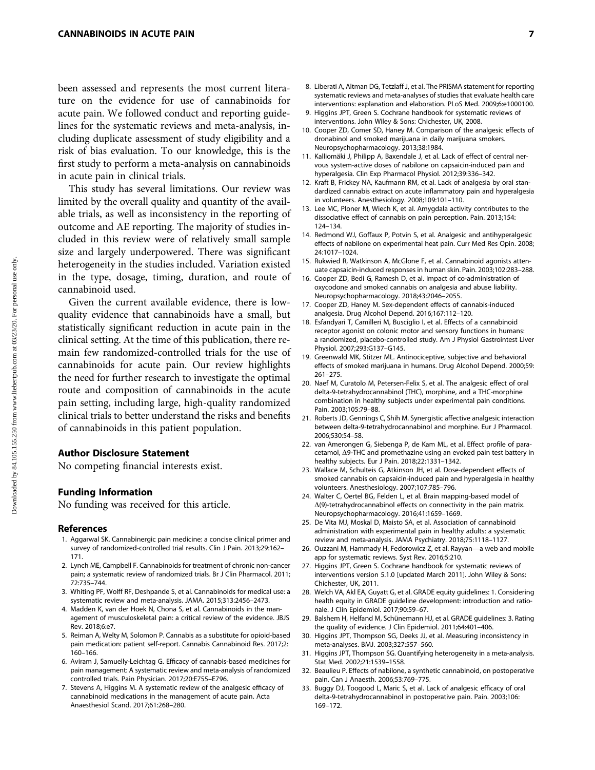been assessed and represents the most current literature on the evidence for use of cannabinoids for acute pain. We followed conduct and reporting guidelines for the systematic reviews and meta-analysis, including duplicate assessment of study eligibility and a risk of bias evaluation. To our knowledge, this is the first study to perform a meta-analysis on cannabinoids in acute pain in clinical trials.

This study has several limitations. Our review was limited by the overall quality and quantity of the available trials, as well as inconsistency in the reporting of outcome and AE reporting. The majority of studies included in this review were of relatively small sample size and largely underpowered. There was significant heterogeneity in the studies included. Variation existed in the type, dosage, timing, duration, and route of cannabinoid used.

Given the current available evidence, there is lowquality evidence that cannabinoids have a small, but statistically significant reduction in acute pain in the clinical setting. At the time of this publication, there remain few randomized-controlled trials for the use of cannabinoids for acute pain. Our review highlights the need for further research to investigate the optimal route and composition of cannabinoids in the acute pain setting, including large, high-quality randomized clinical trials to better understand the risks and benefits of cannabinoids in this patient population.

#### Author Disclosure Statement

No competing financial interests exist.

# Funding Information

No funding was received for this article.

#### References

- 1. Aggarwal SK. Cannabinergic pain medicine: a concise clinical primer and survey of randomized-controlled trial results. Clin J Pain. 2013;29:162– 171.
- 2. Lynch ME, Campbell F. Cannabinoids for treatment of chronic non-cancer pain; a systematic review of randomized trials. Br J Clin Pharmacol. 2011; 72:735–744.
- 3. Whiting PF, Wolff RF, Deshpande S, et al. Cannabinoids for medical use: a systematic review and meta-analysis. JAMA. 2015;313:2456–2473.
- 4. Madden K, van der Hoek N, Chona S, et al. Cannabinoids in the management of musculoskeletal pain: a critical review of the evidence. JBJS Rev. 2018;6:e7.
- 5. Reiman A, Welty M, Solomon P. Cannabis as a substitute for opioid-based pain medication: patient self-report. Cannabis Cannabinoid Res. 2017;2: 160–166.
- 6. Aviram J, Samuelly-Leichtag G. Efficacy of cannabis-based medicines for pain management: A systematic review and meta-analysis of randomized controlled trials. Pain Physician. 2017;20:E755–E796.
- 7. Stevens A, Higgins M. A systematic review of the analgesic efficacy of cannabinoid medications in the management of acute pain. Acta Anaesthesiol Scand. 2017;61:268–280.
- 8. Liberati A, Altman DG, Tetzlaff J, et al. The PRISMA statement for reporting systematic reviews and meta-analyses of studies that evaluate health care interventions: explanation and elaboration. PLoS Med. 2009;6:e1000100.
- 9. Higgins JPT, Green S. Cochrane handbook for systematic reviews of interventions. John Wiley & Sons: Chichester, UK, 2008.
- 10. Cooper ZD, Comer SD, Haney M. Comparison of the analgesic effects of dronabinol and smoked marijuana in daily marijuana smokers. Neuropsychopharmacology. 2013;38:1984.
- 11. Kalliomäki J, Philipp A, Baxendale J, et al. Lack of effect of central nervous system-active doses of nabilone on capsaicin-induced pain and hyperalgesia. Clin Exp Pharmacol Physiol. 2012;39:336–342.
- 12. Kraft B, Frickey NA, Kaufmann RM, et al. Lack of analgesia by oral standardized cannabis extract on acute inflammatory pain and hyperalgesia in volunteers. Anesthesiology. 2008;109:101–110.
- 13. Lee MC, Ploner M, Wiech K, et al. Amygdala activity contributes to the dissociative effect of cannabis on pain perception. Pain. 2013;154: 124–134.
- 14. Redmond WJ, Goffaux P, Potvin S, et al. Analgesic and antihyperalgesic effects of nabilone on experimental heat pain. Curr Med Res Opin. 2008; 24:1017–1024.
- 15. Rukwied R, Watkinson A, McGlone F, et al. Cannabinoid agonists attenuate capsaicin-induced responses in human skin. Pain. 2003;102:283–288.
- 16. Cooper ZD, Bedi G, Ramesh D, et al. Impact of co-administration of oxycodone and smoked cannabis on analgesia and abuse liability. Neuropsychopharmacology. 2018;43:2046–2055.
- 17. Cooper ZD, Haney M. Sex-dependent effects of cannabis-induced analgesia. Drug Alcohol Depend. 2016;167:112–120.
- 18. Esfandyari T, Camilleri M, Busciglio I, et al. Effects of a cannabinoid receptor agonist on colonic motor and sensory functions in humans: a randomized, placebo-controlled study. Am J Physiol Gastrointest Liver Physiol. 2007;293:G137–G145.
- 19. Greenwald MK, Stitzer ML. Antinociceptive, subjective and behavioral effects of smoked marijuana in humans. Drug Alcohol Depend. 2000;59: 261–275.
- 20. Naef M, Curatolo M, Petersen-Felix S, et al. The analgesic effect of oral delta-9-tetrahydrocannabinol (THC), morphine, and a THC-morphine combination in healthy subjects under experimental pain conditions. Pain. 2003;105:79–88.
- 21. Roberts JD, Gennings C, Shih M. Synergistic affective analgesic interaction between delta-9-tetrahydrocannabinol and morphine. Eur J Pharmacol. 2006;530:54–58.
- 22. van Amerongen G, Siebenga P, de Kam ML, et al. Effect profile of paracetamol,  $\Delta$ 9-THC and promethazine using an evoked pain test battery in healthy subjects. Eur J Pain. 2018;22:1331–1342.
- 23. Wallace M, Schulteis G, Atkinson JH, et al. Dose-dependent effects of smoked cannabis on capsaicin-induced pain and hyperalgesia in healthy volunteers. Anesthesiology. 2007;107:785–796.
- 24. Walter C, Oertel BG, Felden L, et al. Brain mapping-based model of  $\Delta(9)$ -tetrahydrocannabinol effects on connectivity in the pain matrix. Neuropsychopharmacology. 2016;41:1659–1669.
- 25. De Vita MJ, Moskal D, Maisto SA, et al. Association of cannabinoid administration with experimental pain in healthy adults: a systematic review and meta-analysis. JAMA Psychiatry. 2018;75:1118–1127.
- 26. Ouzzani M, Hammady H, Fedorowicz Z, et al. Rayyan—a web and mobile app for systematic reviews. Syst Rev. 2016;5:210.
- 27. Higgins JPT, Green S. Cochrane handbook for systematic reviews of interventions version 5.1.0 [updated March 2011]. John Wiley & Sons: Chichester, UK, 2011.
- 28. Welch VA, Akl EA, Guyatt G, et al. GRADE equity guidelines: 1. Considering health equity in GRADE guideline development: introduction and rationale. J Clin Epidemiol. 2017;90:59–67.
- 29. Balshem H, Helfand M, Schünemann HJ, et al. GRADE guidelines: 3. Rating the quality of evidence. J Clin Epidemiol. 2011;64:401–406.
- 30. Higgins JPT, Thompson SG, Deeks JJ, et al. Measuring inconsistency in meta-analyses. BMJ. 2003;327:557–560.
- 31. Higgins JPT, Thompson SG. Quantifying heterogeneity in a meta-analysis. Stat Med. 2002;21:1539–1558.
- 32. Beaulieu P. Effects of nabilone, a synthetic cannabinoid, on postoperative pain. Can J Anaesth. 2006;53:769–775.
- 33. Buggy DJ, Toogood L, Maric S, et al. Lack of analgesic efficacy of oral delta-9-tetrahydrocannabinol in postoperative pain. Pain. 2003;106: 169–172.